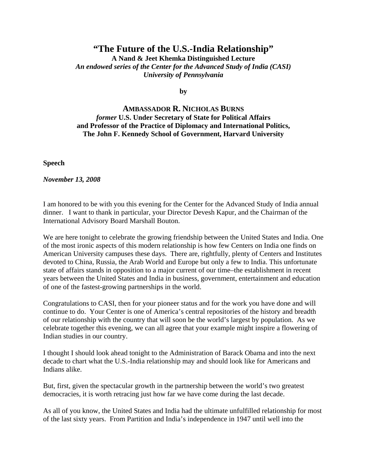## **"The Future of the U.S.-India Relationship"**

**A Nand & Jeet Khemka Distinguished Lecture**  *An endowed series of the Center for the Advanced Study of India (CASI) University of Pennsylvania* 

**by** 

## **AMBASSADOR R. NICHOLAS BURNS** *former* **U.S. Under Secretary of State for Political Affairs and Professor of the Practice of Diplomacy and International Politics, The John F. Kennedy School of Government, Harvard University**

**Speech** 

*November 13, 2008* 

I am honored to be with you this evening for the Center for the Advanced Study of India annual dinner. I want to thank in particular, your Director Devesh Kapur, and the Chairman of the International Advisory Board Marshall Bouton.

We are here tonight to celebrate the growing friendship between the United States and India. One of the most ironic aspects of this modern relationship is how few Centers on India one finds on American University campuses these days. There are, rightfully, plenty of Centers and Institutes devoted to China, Russia, the Arab World and Europe but only a few to India. This unfortunate state of affairs stands in opposition to a major current of our time–the establishment in recent years between the United States and India in business, government, entertainment and education of one of the fastest-growing partnerships in the world.

Congratulations to CASI, then for your pioneer status and for the work you have done and will continue to do. Your Center is one of America's central repositories of the history and breadth of our relationship with the country that will soon be the world's largest by population. As we celebrate together this evening, we can all agree that your example might inspire a flowering of Indian studies in our country.

I thought I should look ahead tonight to the Administration of Barack Obama and into the next decade to chart what the U.S.-India relationship may and should look like for Americans and Indians alike.

But, first, given the spectacular growth in the partnership between the world's two greatest democracies, it is worth retracing just how far we have come during the last decade.

As all of you know, the United States and India had the ultimate unfulfilled relationship for most of the last sixty years. From Partition and India's independence in 1947 until well into the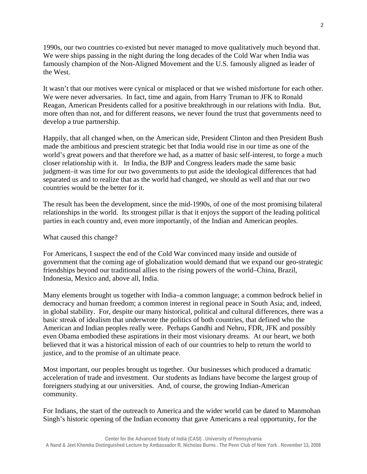1990s, our two countries co-existed but never managed to move qualitatively much beyond that. We were ships passing in the night during the long decades of the Cold War when India was famously champion of the Non-Aligned Movement and the U.S. famously aligned as leader of the West.

It wasn't that our motives were cynical or misplaced or that we wished misfortune for each other. We were never adversaries. In fact, time and again, from Harry Truman to JFK to Ronald Reagan, American Presidents called for a positive breakthrough in our relations with India. But, more often than not, and for different reasons, we never found the trust that governments need to develop a true partnership.

Happily, that all changed when, on the American side, President Clinton and then President Bush made the ambitious and prescient strategic bet that India would rise in our time as one of the world's great powers and that therefore we had, as a matter of basic self-interest, to forge a much closer relationship with it. In India, the BJP and Congress leaders made the same basic judgment–it was time for our two governments to put aside the ideological differences that had separated us and to realize that as the world had changed, we should as well and that our two countries would be the better for it.

The result has been the development, since the mid-1990s, of one of the most promising bilateral relationships in the world. Its strongest pillar is that it enjoys the support of the leading political parties in each country and, even more importantly, of the Indian and American peoples.

What caused this change?

For Americans, I suspect the end of the Cold War convinced many inside and outside of government that the coming age of globalization would demand that we expand our geo-strategic friendships beyond our traditional allies to the rising powers of the world–China, Brazil, Indonesia, Mexico and, above all, India.

Many elements brought us together with India–a common language; a common bedrock belief in democracy and human freedom; a common interest in regional peace in South Asia; and, indeed, in global stability. For, despite our many historical, political and cultural differences, there was a basic streak of idealism that underwrote the politics of both countries, that defined who the American and Indian peoples really were. Perhaps Gandhi and Nehru, FDR, JFK and possibly even Obama embodied these aspirations in their most visionary dreams. At our heart, we both believed that it was a historical mission of each of our countries to help to return the world to justice, and to the promise of an ultimate peace.

Most important, our peoples brought us together. Our businesses which produced a dramatic acceleration of trade and investment. Our students as Indians have become the largest group of foreigners studying at our universities. And, of course, the growing Indian-American community.

For Indians, the start of the outreach to America and the wider world can be dated to Manmohan Singh's historic opening of the Indian economy that gave Americans a real opportunity, for the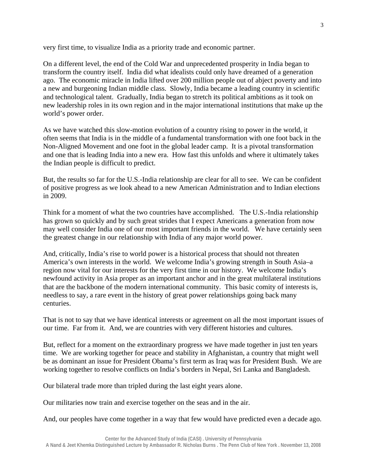very first time, to visualize India as a priority trade and economic partner.

On a different level, the end of the Cold War and unprecedented prosperity in India began to transform the country itself. India did what idealists could only have dreamed of a generation ago. The economic miracle in India lifted over 200 million people out of abject poverty and into a new and burgeoning Indian middle class. Slowly, India became a leading country in scientific and technological talent. Gradually, India began to stretch its political ambitions as it took on new leadership roles in its own region and in the major international institutions that make up the world's power order.

As we have watched this slow-motion evolution of a country rising to power in the world, it often seems that India is in the middle of a fundamental transformation with one foot back in the Non-Aligned Movement and one foot in the global leader camp. It is a pivotal transformation and one that is leading India into a new era. How fast this unfolds and where it ultimately takes the Indian people is difficult to predict.

But, the results so far for the U.S.-India relationship are clear for all to see. We can be confident of positive progress as we look ahead to a new American Administration and to Indian elections in 2009.

Think for a moment of what the two countries have accomplished. The U.S.-India relationship has grown so quickly and by such great strides that I expect Americans a generation from now may well consider India one of our most important friends in the world. We have certainly seen the greatest change in our relationship with India of any major world power.

And, critically, India's rise to world power is a historical process that should not threaten America's own interests in the world. We welcome India's growing strength in South Asia–a region now vital for our interests for the very first time in our history. We welcome India's newfound activity in Asia proper as an important anchor and in the great multilateral institutions that are the backbone of the modern international community. This basic comity of interests is, needless to say, a rare event in the history of great power relationships going back many centuries.

That is not to say that we have identical interests or agreement on all the most important issues of our time. Far from it. And, we are countries with very different histories and cultures.

But, reflect for a moment on the extraordinary progress we have made together in just ten years time. We are working together for peace and stability in Afghanistan, a country that might well be as dominant an issue for President Obama's first term as Iraq was for President Bush. We are working together to resolve conflicts on India's borders in Nepal, Sri Lanka and Bangladesh.

Our bilateral trade more than tripled during the last eight years alone.

Our militaries now train and exercise together on the seas and in the air.

And, our peoples have come together in a way that few would have predicted even a decade ago.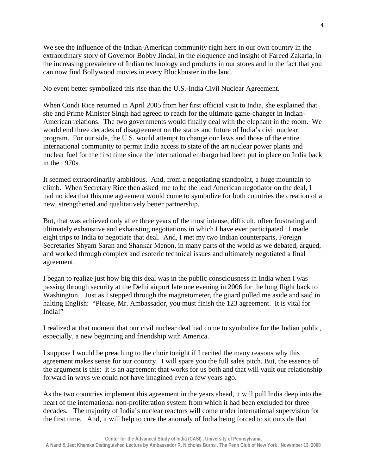We see the influence of the Indian-American community right here in our own country in the extraordinary story of Governor Bobby Jindal, in the eloquence and insight of Fareed Zakaria, in the increasing prevalence of Indian technology and products in our stores and in the fact that you can now find Bollywood movies in every Blockbuster in the land.

No event better symbolized this rise than the U.S.-India Civil Nuclear Agreement.

When Condi Rice returned in April 2005 from her first official visit to India, she explained that she and Prime Minister Singh had agreed to reach for the ultimate game-changer in Indian-American relations. The two governments would finally deal with the elephant in the room. We would end three decades of disagreement on the status and future of India's civil nuclear program. For our side, the U.S. would attempt to change our laws and those of the entire international community to permit India access to state of the art nuclear power plants and nuclear fuel for the first time since the international embargo had been put in place on India back in the 1970s.

It seemed extraordinarily ambitious. And, from a negotiating standpoint, a huge mountain to climb. When Secretary Rice then asked me to be the lead American negotiator on the deal, I had no idea that this one agreement would come to symbolize for both countries the creation of a new, strengthened and qualitatively better partnership.

But, that was achieved only after three years of the most intense, difficult, often frustrating and ultimately exhaustive and exhausting negotiations in which I have ever participated. I made eight trips to India to negotiate that deal. And, I met my two Indian counterparts, Foreign Secretaries Shyam Saran and Shankar Menon, in many parts of the world as we debated, argued, and worked through complex and esoteric technical issues and ultimately negotiated a final agreement.

I began to realize just how big this deal was in the public consciousness in India when I was passing through security at the Delhi airport late one evening in 2006 for the long flight back to Washington. Just as I stepped through the magnetometer, the guard pulled me aside and said in halting English: "Please, Mr. Ambassador, you must finish the 123 agreement. It is vital for India!"

I realized at that moment that our civil nuclear deal had come to symbolize for the Indian public, especially, a new beginning and friendship with America.

I suppose I would be preaching to the choir tonight if I recited the many reasons why this agreement makes sense for our country. I will spare you the full sales pitch. But, the essence of the argument is this: it is an agreement that works for us both and that will vault our relationship forward in ways we could not have imagined even a few years ago.

As the two countries implement this agreement in the years ahead, it will pull India deep into the heart of the international non-proliferation system from which it had been excluded for three decades. The majority of India's nuclear reactors will come under international supervision for the first time. And, it will help to cure the anomaly of India being forced to sit outside that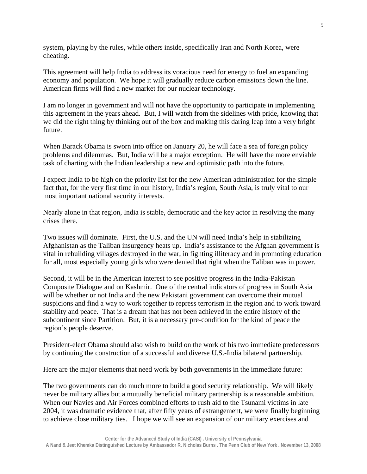system, playing by the rules, while others inside, specifically Iran and North Korea, were cheating.

This agreement will help India to address its voracious need for energy to fuel an expanding economy and population. We hope it will gradually reduce carbon emissions down the line. American firms will find a new market for our nuclear technology.

I am no longer in government and will not have the opportunity to participate in implementing this agreement in the years ahead. But, I will watch from the sidelines with pride, knowing that we did the right thing by thinking out of the box and making this daring leap into a very bright future.

When Barack Obama is sworn into office on January 20, he will face a sea of foreign policy problems and dilemmas. But, India will be a major exception. He will have the more enviable task of charting with the Indian leadership a new and optimistic path into the future.

I expect India to be high on the priority list for the new American administration for the simple fact that, for the very first time in our history, India's region, South Asia, is truly vital to our most important national security interests.

Nearly alone in that region, India is stable, democratic and the key actor in resolving the many crises there.

Two issues will dominate. First, the U.S. and the UN will need India's help in stabilizing Afghanistan as the Taliban insurgency heats up. India's assistance to the Afghan government is vital in rebuilding villages destroyed in the war, in fighting illiteracy and in promoting education for all, most especially young girls who were denied that right when the Taliban was in power.

Second, it will be in the American interest to see positive progress in the India-Pakistan Composite Dialogue and on Kashmir. One of the central indicators of progress in South Asia will be whether or not India and the new Pakistani government can overcome their mutual suspicions and find a way to work together to repress terrorism in the region and to work toward stability and peace. That is a dream that has not been achieved in the entire history of the subcontinent since Partition. But, it is a necessary pre-condition for the kind of peace the region's people deserve.

President-elect Obama should also wish to build on the work of his two immediate predecessors by continuing the construction of a successful and diverse U.S.-India bilateral partnership.

Here are the major elements that need work by both governments in the immediate future:

The two governments can do much more to build a good security relationship. We will likely never be military allies but a mutually beneficial military partnership is a reasonable ambition. When our Navies and Air Forces combined efforts to rush aid to the Tsunami victims in late 2004, it was dramatic evidence that, after fifty years of estrangement, we were finally beginning to achieve close military ties. I hope we will see an expansion of our military exercises and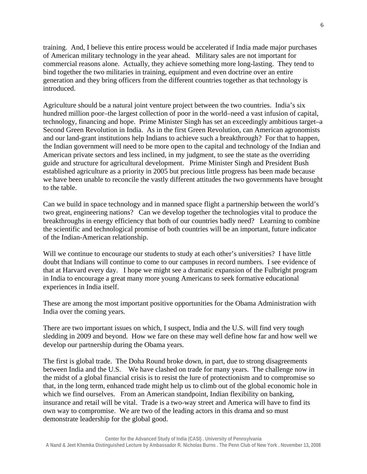training. And, I believe this entire process would be accelerated if India made major purchases of American military technology in the year ahead. Military sales are not important for commercial reasons alone. Actually, they achieve something more long-lasting. They tend to bind together the two militaries in training, equipment and even doctrine over an entire generation and they bring officers from the different countries together as that technology is introduced.

Agriculture should be a natural joint venture project between the two countries. India's six hundred million poor–the largest collection of poor in the world–need a vast infusion of capital, technology, financing and hope. Prime Minister Singh has set an exceedingly ambitious target–a Second Green Revolution in India. As in the first Green Revolution, can American agronomists and our land-grant institutions help Indians to achieve such a breakthrough? For that to happen, the Indian government will need to be more open to the capital and technology of the Indian and American private sectors and less inclined, in my judgment, to see the state as the overriding guide and structure for agricultural development. Prime Minister Singh and President Bush established agriculture as a priority in 2005 but precious little progress has been made because we have been unable to reconcile the vastly different attitudes the two governments have brought to the table.

Can we build in space technology and in manned space flight a partnership between the world's two great, engineering nations? Can we develop together the technologies vital to produce the breakthroughs in energy efficiency that both of our countries badly need? Learning to combine the scientific and technological promise of both countries will be an important, future indicator of the Indian-American relationship.

Will we continue to encourage our students to study at each other's universities? I have little doubt that Indians will continue to come to our campuses in record numbers. I see evidence of that at Harvard every day. I hope we might see a dramatic expansion of the Fulbright program in India to encourage a great many more young Americans to seek formative educational experiences in India itself.

These are among the most important positive opportunities for the Obama Administration with India over the coming years.

There are two important issues on which, I suspect, India and the U.S. will find very tough sledding in 2009 and beyond. How we fare on these may well define how far and how well we develop our partnership during the Obama years.

The first is global trade. The Doha Round broke down, in part, due to strong disagreements between India and the U.S. We have clashed on trade for many years. The challenge now in the midst of a global financial crisis is to resist the lure of protectionism and to compromise so that, in the long term, enhanced trade might help us to climb out of the global economic hole in which we find ourselves. From an American standpoint, Indian flexibility on banking, insurance and retail will be vital. Trade is a two-way street and America will have to find its own way to compromise. We are two of the leading actors in this drama and so must demonstrate leadership for the global good.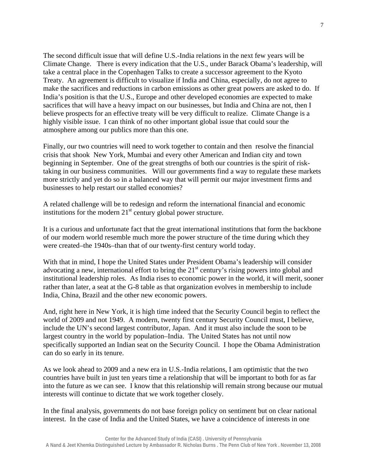The second difficult issue that will define U.S.-India relations in the next few years will be Climate Change. There is every indication that the U.S., under Barack Obama's leadership, will take a central place in the Copenhagen Talks to create a successor agreement to the Kyoto Treaty. An agreement is difficult to visualize if India and China, especially, do not agree to make the sacrifices and reductions in carbon emissions as other great powers are asked to do. If India's position is that the U.S., Europe and other developed economies are expected to make sacrifices that will have a heavy impact on our businesses, but India and China are not, then I believe prospects for an effective treaty will be very difficult to realize. Climate Change is a highly visible issue. I can think of no other important global issue that could sour the atmosphere among our publics more than this one.

Finally, our two countries will need to work together to contain and then resolve the financial crisis that shook New York, Mumbai and every other American and Indian city and town beginning in September. One of the great strengths of both our countries is the spirit of risktaking in our business communities. Will our governments find a way to regulate these markets more strictly and yet do so in a balanced way that will permit our major investment firms and businesses to help restart our stalled economies?

A related challenge will be to redesign and reform the international financial and economic institutions for the modern  $21<sup>st</sup>$  century global power structure.

It is a curious and unfortunate fact that the great international institutions that form the backbone of our modern world resemble much more the power structure of the time during which they were created–the 1940s–than that of our twenty-first century world today.

With that in mind, I hope the United States under President Obama's leadership will consider advocating a new, international effort to bring the  $21<sup>st</sup>$  century's rising powers into global and institutional leadership roles. As India rises to economic power in the world, it will merit, sooner rather than later, a seat at the G-8 table as that organization evolves in membership to include India, China, Brazil and the other new economic powers.

And, right here in New York, it is high time indeed that the Security Council begin to reflect the world of 2009 and not 1949. A modern, twenty first century Security Council must, I believe, include the UN's second largest contributor, Japan. And it must also include the soon to be largest country in the world by population–India. The United States has not until now specifically supported an Indian seat on the Security Council. I hope the Obama Administration can do so early in its tenure.

As we look ahead to 2009 and a new era in U.S.-India relations, I am optimistic that the two countries have built in just ten years time a relationship that will be important to both for as far into the future as we can see. I know that this relationship will remain strong because our mutual interests will continue to dictate that we work together closely.

In the final analysis, governments do not base foreign policy on sentiment but on clear national interest. In the case of India and the United States, we have a coincidence of interests in one